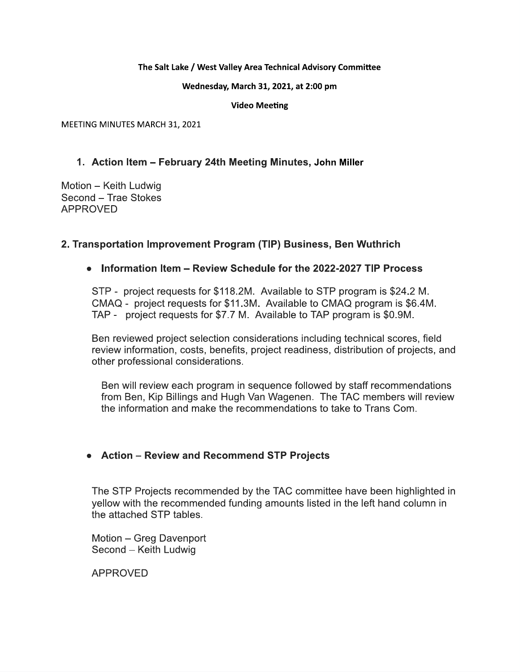### The Salt Lake / West Valley Area Technical Advisory Committee

Wednesday, March 31, 2021, at 2:00 pm

**Video Meeting** 

MEETING MINUTES MARCH 31, 2021

## 1. Action Item - February 24th Meeting Minutes, John Miller

Motion - Keith Ludwig Second - Trae Stokes **APPROVED** 

## 2. Transportation Improvement Program (TIP) Business, Ben Wuthrich

## • Information Item – Review Schedule for the 2022-2027 TIP Process

STP - project requests for \$118.2M. Available to STP program is \$24.2 M. CMAQ - project requests for \$11.3M. Available to CMAQ program is \$6.4M. TAP - project requests for \$7.7 M. Available to TAP program is \$0.9M.

Ben reviewed project selection considerations including technical scores, field review information, costs, benefits, project readiness, distribution of projects, and other professional considerations.

Ben will review each program in sequence followed by staff recommendations from Ben, Kip Billings and Hugh Van Wagenen. The TAC members will review the information and make the recommendations to take to Trans Com

## • Action – Review and Recommend STP Projects

The STP Projects recommended by the TAC committee have been highlighted in yellow with the recommended funding amounts listed in the left hand column in the attached STP tables.

Motion - Greg Davenport Second - Keith Ludwig

**APPROVED**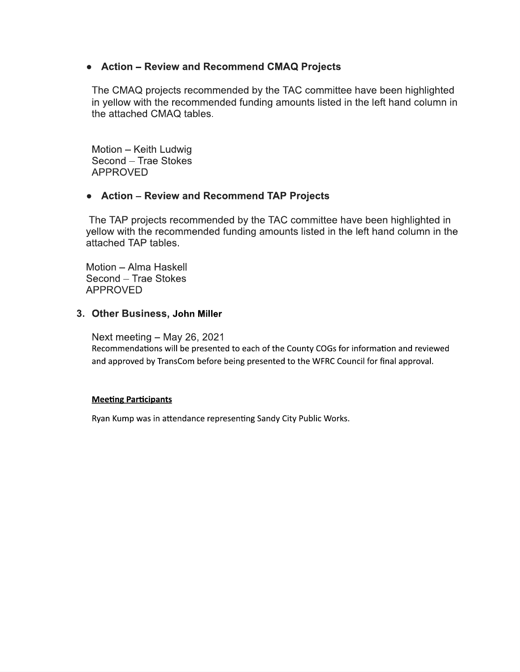# • Action - Review and Recommend CMAQ Projects

The CMAQ projects recommended by the TAC committee have been highlighted in yellow with the recommended funding amounts listed in the left hand column in the attached CMAQ tables.

Motion - Keith Ludwig Second - Trae Stokes **APPROVED** 

## • Action - Review and Recommend TAP Projects

The TAP projects recommended by the TAC committee have been highlighted in yellow with the recommended funding amounts listed in the left hand column in the attached TAP tables.

Motion - Alma Haskell Second - Trae Stokes **APPROVED** 

### 3. Other Business, John Miller

Next meeting  $-$  May 26, 2021

Recommendations will be presented to each of the County COGs for information and reviewed and approved by TransCom before being presented to the WFRC Council for final approval.

### **Meeting Participants**

Ryan Kump was in attendance representing Sandy City Public Works.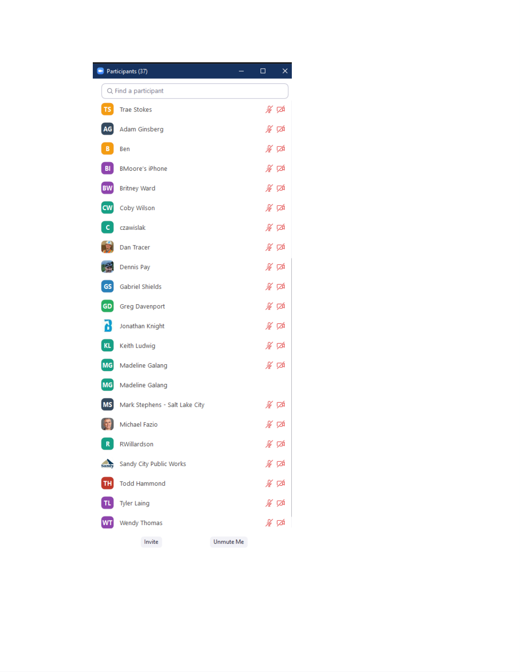| $\blacksquare$  | Participants (37)              |           | ×<br>□ |
|-----------------|--------------------------------|-----------|--------|
|                 | Q Find a participant           |           |        |
| TS              | <b>Trae Stokes</b>             |           | ∦ ⊄    |
| AG              | Adam Ginsberg                  |           | ∦ ⊄    |
| В.              | Ben                            |           | ∦ ⊄    |
| BI              | <b>BMoore's iPhone</b>         |           | ∦ ⊄    |
| <b>BW</b>       | <b>Britney Ward</b>            |           | ∦ ⊄    |
| cw              | Coby Wilson                    |           | ∦ ⊄    |
| c.              | czawislak                      |           | ∦ ⊄    |
|                 | Dan Tracer                     |           | ∦ ⊄    |
|                 | Dennis Pay                     |           | ∦ ⊄    |
| GS              | <b>Gabriel Shields</b>         |           | ∦ ⊄    |
| GD              | Greg Davenport                 |           | ∦ ⊄    |
| ď               | Jonathan Knight                |           | ∦ ⊄    |
| KL              | Keith Ludwig                   |           | ∦ ⊄    |
| MG              | Madeline Galang                |           | ∦ ⊄    |
| MG              | Madeline Galang                |           |        |
| <b>MS</b>       | Mark Stephens - Salt Lake City |           | ∦∽ ⊽∆  |
|                 | Michael Fazio                  |           | % 龙    |
| R               | RWillardson                    |           | ⊯ ≸    |
| sandy           | Sandy City Public Works        |           | ⊯ ≇    |
| TH <sub>1</sub> | <b>Todd Hammond</b>            |           | ⊯ ≇    |
| TL.             | <b>Tyler Laing</b>             |           | ∦ ≮    |
| <b>WT</b>       | <b>Wendy Thomas</b>            |           | ⊯ ⊄    |
|                 | Invite                         | Unmute Me |        |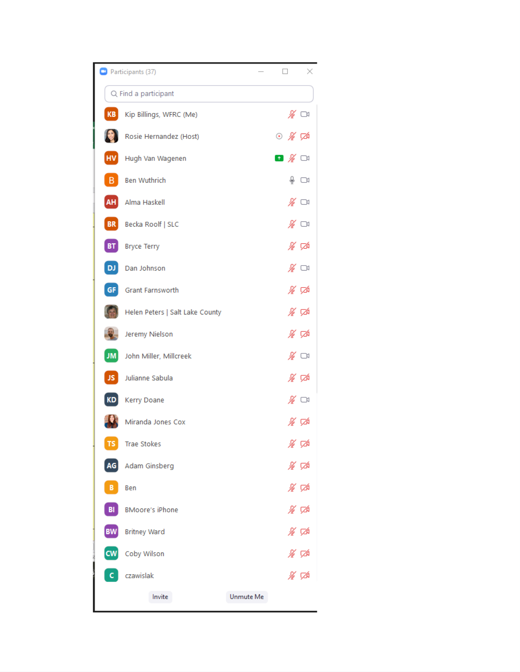|            | Participants (37)               |           |                                  | ×    |
|------------|---------------------------------|-----------|----------------------------------|------|
|            | Q Find a participant            |           |                                  |      |
| KB         | Kip Billings, WFRC (Me)         |           | ∦ ⊡                              |      |
|            | Rosie Hernandez (Host)          |           | ⊙ ∦ ⊄                            |      |
| <b>HV</b>  | Hugh Van Wagenen                |           | ◘ ∦ ા                            |      |
| в          | <b>Ben Wuthrich</b>             |           |                                  | ⊕ ⊡≀ |
| AH         | Alma Haskell                    |           | ∦ ಮ                              |      |
| BR         | Becka Roolf   SLC               |           | $\mathscr{L} \subset \mathbb{R}$ |      |
| BT         | <b>Bryce Terry</b>              |           | ∦ ⊄                              |      |
| DJ         | Dan Johnson                     |           | ∦ ಯ                              |      |
| GF         | <b>Grant Farnsworth</b>         |           | ∦ ⊄                              |      |
|            | Helen Peters   Salt Lake County |           | ∦ ⊄                              |      |
|            | Jeremy Nielson                  |           | ∦ ⊄                              |      |
| JM         | John Miller, Millcreek          |           | ∦ ⊡                              |      |
| JS         | Julianne Sabula                 |           | ∦ ⊄                              |      |
| KD         | Kerry Doane                     |           | ∦ ા                              |      |
|            | Miranda Jones Cox               |           | ⊯ ⊄                              |      |
| ${\sf TS}$ | Trae Stokes                     |           | ⊯ ≮                              |      |
| AG         | Adam Ginsberg                   |           | ∦ ⊄                              |      |
| в          | Ben                             |           | ∦ ⊄                              |      |
| BI         | <b>BMoore's iPhone</b>          |           | ∦ ⊄                              |      |
| <b>BW</b>  | <b>Britney Ward</b>             |           | ∦ ⊄                              |      |
| <b>CW</b>  | Coby Wilson                     |           | ∦∽ ⊄                             |      |
|            | czawislak                       |           | ∦ ⊄                              |      |
|            | Invite                          | Unmute Me |                                  |      |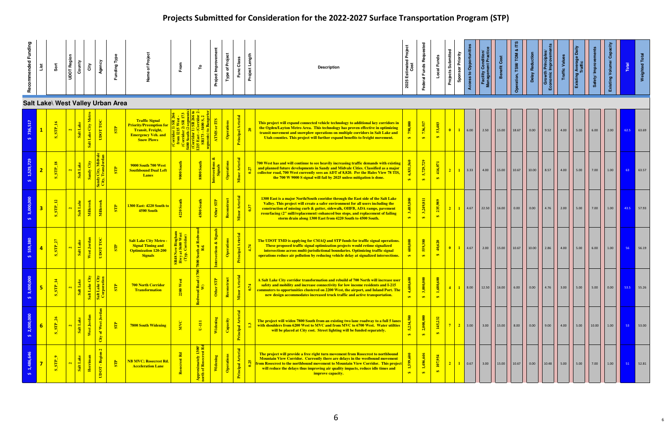| Recommended Funding | List           | š                                                         | UDOT Region             | County<br>City                                            | Agency                 | Funding Type                      |                                                                                                                                       |                                                     | ۴                                                  | Project Improvement   | <b>Type of Project</b> | Func Class              | Project Length | <b>Description</b>                                                                                                                                                                                                                                                                                                                                                                                   | Estimated Project<br>Cost<br>2025 | Requested<br>Federal Funds           | Local Funds                                  | Projects Submitted      | <b>Sponsor Priority</b><br><b>Access to Opportuni</b>                      | Facility Condition/<br>Management Practio | Benefit Cost | TDM<br>ation, TSM/    | <b>Delay Reduction</b> | <b>ITOWER Print</b><br>∣ة                        | <b>Traffic Value</b>                                     | ige Dai<br>Existing Ave                                                |        | Existing Volume/ | Total        | Weighted                                                            |
|---------------------|----------------|-----------------------------------------------------------|-------------------------|-----------------------------------------------------------|------------------------|-----------------------------------|---------------------------------------------------------------------------------------------------------------------------------------|-----------------------------------------------------|----------------------------------------------------|-----------------------|------------------------|-------------------------|----------------|------------------------------------------------------------------------------------------------------------------------------------------------------------------------------------------------------------------------------------------------------------------------------------------------------------------------------------------------------------------------------------------------------|-----------------------------------|--------------------------------------|----------------------------------------------|-------------------------|----------------------------------------------------------------------------|-------------------------------------------|--------------|-----------------------|------------------------|--------------------------------------------------|----------------------------------------------------------|------------------------------------------------------------------------|--------|------------------|--------------|---------------------------------------------------------------------|
|                     |                |                                                           |                         |                                                           |                        | Salt Lake\ West Valley Urban Area |                                                                                                                                       |                                                     |                                                    |                       |                        |                         |                |                                                                                                                                                                                                                                                                                                                                                                                                      |                                   |                                      |                                              |                         |                                                                            |                                           |              |                       |                        |                                                  |                                                          |                                                                        |        |                  |              |                                                                     |
| 736,517             | $\mathbf{1}$   | $S_STP_16$                                                | $\mathbf{a}$            | Salt Lake City M<br>Salt Lake                             | UDOT TOC               | $\overline{\text{SP}}$            | <b>Traffic Signal</b><br><b>Priority/Preemption for</b><br><b>Transit, Freight,</b><br><b>Emergency Veh. and</b><br><b>Snow Plows</b> |                                                     |                                                    | or ITS<br><b>ATMS</b> | $\sigma$               | Principal Arterial      |                | This project will expand connected vehicle technology to additional key corridors in<br>the Ogden/Layton Metro Area. This technology has proven effective in optimizing<br>transit movement and snowplow operations on multiple corridors in Salt Lake and<br>Utah counties. This project will further expand benefits to freight movement.                                                          | ,000<br>$\leftrightarrow$         | 736,517<br>$\leftrightarrow$         | 53,403<br>$\leftrightarrow$                  | $\bullet$               | 6.00                                                                       | $\vert$ 2.50 $\vert$                      | 15.00        | 18.67 0.00            |                        |                                                  | $\begin{array}{ c c } \hline 4.00 \\ \hline \end{array}$ | 5.00                                                                   | 6.00   | 2.00             | $62.5$ 63.69 |                                                                     |
|                     | 2 <sub>2</sub> | $SIP_118$                                                 | $\mathbf{a}$            | Salt Lake                                                 | ity,                   | $\overline{\text{SP}}$            | 9000 South 700 West<br><b>Southbound Dual Left</b><br><b>Lanes</b>                                                                    | $\frac{1}{2}000$                                    | 8800 South                                         | Intersections         | <b>Dec</b>             | or Arterial<br><b>E</b> | 6              | 700 West has and will continue to see heavily increasing traffic demands with existing<br>and planned future developments in Sandy and Midvale Cities. Classified as a major<br>collector road, 700 West currently sees an ADT of 8,820. Per the Hales View 78 TIS,<br>the 700 W 9000 S signal will fail by 2025 unless mitigation is done.                                                          | 6,831,                            | 5,729,729<br>$\leftrightarrow$       | 416,071<br>$\bullet$                         |                         | $\begin{array}{ c c c c c } \hline \textbf{1} & \textbf{3.33} \end{array}$ | 4.00                                      | 15.00        | $\vert$ 10.67 $\vert$ | $\boxed{10.00}$        | 8.57                                             | 4.00                                                     | 5.00                                                                   |        | 1.00             | 63           | $\begin{array}{ c c }\n\hline\n\textbf{63.57}\n\end{array}$         |
|                     | 3 <sup>1</sup> | $S_{SIP_1/2}$                                             | $\mathbf{N}$            | Salt Lake<br>Millcreek                                    | Millcreek              | $\overline{\text{SP}}$            | <b>1300 East: 4220 South to</b><br>4500 South                                                                                         | <b>1220 South</b>                                   | 4500 South                                         | Other STP             | Reco                   | Minor Arterial          |                | 1300 East is a major North/South cooridor through the East side of the Salt Lake<br>Valley. This project will create a safer environment for all users including the<br>construction of missing curb & gutter, sidewalk, OHFB, ADA ramps, pavement<br>resurfacing (2" mill/replacement) enhanced bus stops, and replacement of failing<br>storm drain along 1300 East from 4220 South to 4500 South. | 485,800                           | 3,249,811<br>$\leftrightarrow$       | 235,989<br>$\bullet$                         | $2-1$                   | $1 \t 4.67$                                                                | 22.50                                     | 16.00        | 0.00                  | $\vert$ 0.00           | $\begin{array}{ c c }\n\hline\n\end{array}$ 4.76 | $\begin{array}{ c c c }\n\hline\n2.00\n\end{array}$      | 5.00                                                                   |        | 1.00             | 43.5 57.93   |                                                                     |
|                     |                | $\overline{27}$<br>$S_2$ $STP_2$                          | $\mathbf{a}$            | West Jordan<br>Salt Lake                                  | UDOT TOC               | $\overline{\text{SP}}$            | <b>Salt Lake City Metro -</b><br><b>Signal Timing and</b><br><b>Optimization 120-200</b><br><b>Signals</b>                            | <b>S New Bingh<br/>y at 5600 We</b><br>yp. Corridor | 800 South at 1                                     | ctions & Si           | ations<br>$\sigma$     | Principal Arterial      | 4.74           | The UDOT TMD is applying for CMAQ and STP funds for traffic signal operations.<br>These proposed traffic signal optimization projects would retime signalized<br>intersections across multi-jurisdictional boundaries. Optimizing traffic signal<br>operations reduce air pollution by reducing vehicle delay at signalized intersections.                                                           | 600,000<br>$\leftrightarrow$      | 559,380<br>$\leftrightarrow$         | 40,620<br>$\leftrightarrow$                  | $\overline{\mathbf{0}}$ | $1 \t 4.67$                                                                | 2.00                                      | 15.00        |                       | 10.67 10.00            | 2.86                                             | 4.00                                                     | 5.00                                                                   | 6.00   | 1.00             | 56           | $\begin{array}{ c c } \hline \textbf{5} & 56.19 \hline \end{array}$ |
|                     | 5 <sub>1</sub> | $\mathbf{H}$<br>$\overline{\mathbf{S}}$<br>$\overline{u}$ | $\mathbf{a}$            | $\left(\frac{5}{5}\right)$<br> z <br>Salt Lal<br>Salt Lak |                        | $\overline{\mathbf{s}}$           | <b>700 North Corridor</b><br><b>Transformation</b>                                                                                    | $\mathbf{r}$<br>2200 W                              | ud (1700<br>Redwood Ro<br>W)                       | E<br>Other            | Rec                    | erial<br>Minor Arte     | 0.74           | A Salt Lake City corridor transformation and rebuild of 700 North will increase user<br>safety and mobility and increase connectivity for low income residents and I-215<br>commuters to opportunities clustered on 2200 West, the airport, and Inland Port. The<br>new design accommodates increased truck traffic and active transportation.                                                       | ್ದಿ<br>$\leftrightarrow$          | $\frac{1}{2}$<br>3,000,<br>$\bullet$ | $\frac{1}{2}$<br>1,680,<br>$\leftrightarrow$ |                         | 8.00                                                                       | 12.50                                     | 16.00        | 6.00                  | $\vert$ 0.00           | 4.76                                             | $\begin{array}{ c c } \hline 3.00 \\ \hline \end{array}$ | $\begin{array}{ c c c c c } \hline \text{5.00} & \text{ } \end{array}$ | 5.00   | 0.00             |              | $53.5$ 55.26                                                        |
|                     | 6 <sup>1</sup> | $\frac{8}{26}$<br>STP<br><u>්ත</u>                        | $\mathbf{N}$            | West Jordan<br>Salt Lake                                  | of West Jordan<br>City | $\overline{\mathbf{S}}$           | <b>7800 South Widening</b>                                                                                                            | <b>NNC</b>                                          | $U-III$                                            | Widening              | Capac                  | Principal Arterial      |                | The project will widen 7800 South from an existing two lane roadway to a full 5 lanes<br>with shoulders from 6200 West to MVC and from MVC to 6700 West. Water utilties<br>will be placed at City cost. Street lighting will be funded separately.                                                                                                                                                   | 5,234,500<br>$\leftrightarrow$    | 2,000,000<br>$\leftrightarrow$       | 145,232<br>$\leftrightarrow$                 | 7 <sup>1</sup>          | $2 \mid 3.00 \mid$                                                         | 3.00                                      | 15.00        | 8.00                  | $\vert$ 0.00           | $9.00$                                           | 4.00                                                     | 5.00                                                                   | 10.00  | 1.00             | 53           | $\begin{array}{ c c } \hline \textbf{53.00} \end{array}$            |
|                     |                | $\bullet$<br>$\overline{\text{SP}}$<br>$\overline{u}$     | $\overline{\mathbf{c}}$ | $\overline{a}$<br>Salt Lake<br>He                         | UDOT - Region 2        | $\frac{1}{2}$                     | <b>NB MVC; Rosecrest Rd.</b><br><b>Acceleration Lane</b>                                                                              |                                                     | 1300'<br>est Rd<br>pproximately<br>arth of Rosecre | Wide                  | $\bar{e}$              | Principal Arterial      |                | The project will provide a free right turn movement from Rosecrest to northbound<br>Mountain View Corridor. Currently there are delays in the westbound movement<br>from Rosecrest to the northbound movement to Mountain View Corridor.  This project<br>will reduce the delays thus improving air quality impacts, reduce idle times and<br>improve capacity.                                      | $\bullet$                         | 1,486,646<br>$\epsilon$              | 107,954<br>$\bullet$                         | $2-1$                   | $\vert$ 0.67                                                               | 3.00                                      | 15.00        | 10.67                 | $\vert$ 0.00           | 10.48                                            | $\begin{array}{ c c }\n\hline\n\end{array}$ 5.00         | $\vert$ 5.00                                                           | $7.00$ | 1.00             | 51           | $\begin{array}{ c c } \hline \quad 52.81 \\ \hline \end{array}$     |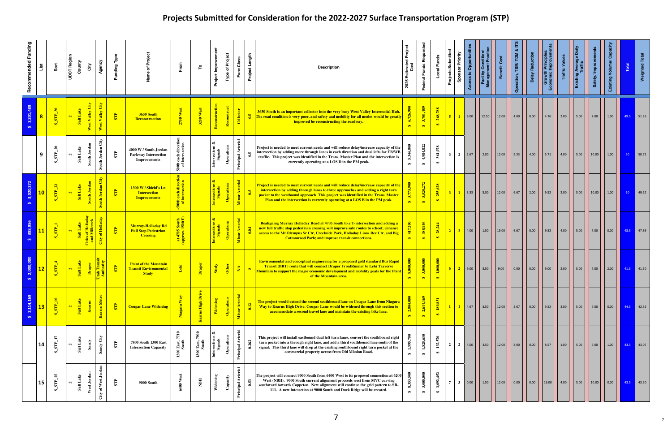| Recommended Funding | List                    | Sort                                         | UDOT Region<br>County     | City                            | Agency                          | Funding Type             |                                                                              | From                                                    | ۴                             | Project Improvement           | <b>Type of Project</b>   | Func Class                      | Project Length | <b>Description</b>                                                                                                                                                                                                                                                                                                                             | Estimated Project<br>Cost<br>2025 | Federal Funds Reque            | Local Funds                    | Projects Submitted | <b>Sponsor Priority</b><br><b>Access to Opportun</b> | <b>Facility Condition</b><br>Management Praction | Benefit Cost | TDM<br>ation, TSM/ | <b>Delay Reduction</b>                                                             | Growth Prin                                      | <b>Traffic Value</b>                              | age Dai<br>Existing Ave |       | Existing Volume/ | Total                                                            | Weighted             |
|---------------------|-------------------------|----------------------------------------------|---------------------------|---------------------------------|---------------------------------|--------------------------|------------------------------------------------------------------------------|---------------------------------------------------------|-------------------------------|-------------------------------|--------------------------|---------------------------------|----------------|------------------------------------------------------------------------------------------------------------------------------------------------------------------------------------------------------------------------------------------------------------------------------------------------------------------------------------------------|-----------------------------------|--------------------------------|--------------------------------|--------------------|------------------------------------------------------|--------------------------------------------------|--------------|--------------------|------------------------------------------------------------------------------------|--------------------------------------------------|---------------------------------------------------|-------------------------|-------|------------------|------------------------------------------------------------------|----------------------|
| 3,201,489           | $\overline{\mathbf{8}}$ | $S_STP$                                      | Salt Lake<br>$\mathbf{N}$ | City<br>West Valley             | West Valley City                | $\overline{\mathbf{SP}}$ | 3650 South<br><b>Reconstruction</b>                                          | 2700 We                                                 | 3200 West                     | Reconstruction                | Reconstruct              | Collector                       |                | 3650 South is an important collector into the very busy West Valley Intermodal Hub.<br>The road condition is very poor, and safety and mobility for all modes would be greatly<br>improved be reconstructing the roadway.                                                                                                                      | 6,726,9<br>$\leftrightarrow$      | 3,701,489<br>$\leftrightarrow$ | 268,788<br>$\bullet$           | $5-1$              | 8.00                                                 |                                                  | 12.00        | 4.00               | $\vert$ 0.00                                                                       | $\begin{array}{ c c }\n\hline\n\end{array}$ 4.76 | $\begin{array}{ c c }\n\hline\n2.00\n\end{array}$ | $\vert$ 5.00            |       | 1.00             |                                                                  | 49.5 51.26           |
|                     | 9                       | $\mathbf{a}$<br>STP<br>ທ່                    | Salt Lake                 | South Jor                       | $\mathrm{City}$<br>South Jordan | $\mathbb{E}$             | 4000 W / South Jordan<br><b>Parkway Intersection</b><br><b>Improvements</b>  | 500ft each<br>of inters                                 |                               | త<br>Intersections<br>Signals | ations<br>Oper           | <b>Principal Arterial</b>       |                | Project is needed to meet current needs and will reduce delay/increase capacity of the<br>intersection by adding more through lanes in each direction and dual lefts for EB/WB<br>traffic. This project was identified in the Trans. Master Plan and the intersection is<br>currently operating at a LOS D in the PM peak.                     | 5,346,800<br>$\leftrightarrow$    | 4,984,822<br>$\bullet$         | 361,978<br>$\leftrightarrow$   | 3 <sup>1</sup>     | $2 \mid 2.67$                                        |                                                  | 12.00        | $9.33$             | $\vert$ 4.00                                                                       | 5.71                                             | 4.00                                              | $\vert$ 5.00            | 10.00 | 1.00             | 50                                                               | 50.71                |
|                     | 10                      | $S$ $STP$                                    | Salt Lake<br>$\mathbf{a}$ | outh Jord <mark>a</mark>        | outh Jordan City                | $S_{\rm TP}$             | 1300 W / Shield's Ln<br><b>Intersection</b><br><b>Improvements</b>           | 問<br><b>g S</b>                                         |                               |                               | rations<br>$rac{1}{2}$   | Minor Arterial                  |                | Project is needed to meet current needs and will reduce delay/increase capacity of the<br>intersection by adding through lanes to three approaches and adding a right turn<br>pocket to the westbound approach This project was identified in the Trans. Master<br>Plan and the intersection is currently operating at a LOS E in the PM peak. | 3,775,900                         | 3,520,272<br>$\leftrightarrow$ | 255,628<br>$\bullet$           | $3-1$              | $1 \vert$ 3.33                                       |                                                  | 12.00        | $6.67$             |                                                                                    |                                                  |                                                   | 5.00                    |       | 1.00             | 50                                                               | 49.52                |
|                     | 11                      | $STP_1$                                      | Salt Lake<br>$\mathbf{N}$ | ties of Hollac<br>and Millcreel | of Holladay<br>City             | STP                      | <b>Murray-Holladay Rd</b><br><b>Full Stop Pedestrian</b><br><b>Crossing</b>  | s South<br>1500 E)<br>$\frac{at\,4705}{\text{approx.}}$ |                               |                               | $rac{1}{2}$              | Minor Arterial                  |                | Realigning Murray Holladay Road at 4705 South to a T-intersection and adding a<br>new full traffic stop pedestrian crossing will improve safe routes to school; enhance<br>access to the Mt Olympus Sr Ctr, Creekside Park, Holladay Lions Rec Ctr, and Big<br><b>Cottonwood Park; and improve transit connections.</b>                        | 417,200<br>$\leftrightarrow$      | 388,956<br>$\leftrightarrow$   | 28,244<br>$\leftrightarrow$    | $\vert 2 \vert$    | $\sqrt{2}$<br>$\vert$ 4.00                           | 1.50                                             | 15.00        | 6.67               | $\vert$ 0.00                                                                       |                                                  | 4.00                                              | 5.00                    |       | 0.00             |                                                                  | 48.5 47.69           |
|                     | 12                      | $\overline{\text{SP}}$                       | Salt Lake<br>$\mathbf{N}$ | Draper                          | tah Trans<br>Authority          | $\overline{\text{SP}}$   | <b>Point of the Mountain</b><br><b>Transit Environmental</b><br><b>Study</b> | Lehi                                                    | Draper                        | Study                         | Other                    | $\mathbf{z}$                    | $\infty$       | <b>Environmental and conceptual engineering for a proposed gold standard Bus Rapid</b><br>Transit (BRT) route that will connect Draper FrontRunner to Lehi Traverse<br>Mountain to support the major economic development and mobility goals for the Point<br>of the Mountain area.                                                            | 8,000,000<br>$\leftrightarrow$    | 3,000,000<br>$\leftrightarrow$ | 1,000,000<br>$\bullet$         | $6-1$              | $2$ 9.00                                             | 3.50                                             | 9.00         |                    | $\begin{array}{ c c c c c c } \hline \text{0.00} & \text{0.00} \hline \end{array}$ |                                                  |                                                   | 5.00                    | 7.00  | 2.00             | $\begin{array}{ c c c c }\n\hline\n & 41.5 & 41.50\n\end{array}$ |                      |
| 2,114,169           | 13                      | $S\_STP\_10$                                 | Salt Lake<br>$\mathbf{N}$ | Kearns                          | Kearns Metro                    | $\overline{\text{SP}}$   | <b>Cougar Lane Widening</b>                                                  | Niag                                                    | Kearns High Driv              | Widening                      | Operations               | Minor Arterial                  | 0.12           | The project would extend the second southbound lane on Cougar Lane from Niagara<br>Way to Kearns High Drive. Cougar Lane would be widened through this section to<br>accommodate a second travel lane and maintain the existing bike lane.                                                                                                     | 2,804,000<br>$\leftrightarrow$    | 2,614,169<br>$\leftrightarrow$ | 189,831<br>$\bullet$           |                    | 4.67<br>$\blacksquare$                               | 3.50                                             | 12.00        |                    | $\vert$ 0.00                                                                       | 9.52                                             | 3.00                                              | 5.00                    |       | 0.00             |                                                                  | $44.5$ 42.36         |
|                     | 14                      | $\mathbf{r}$<br>STP<br>$\boldsymbol{\omega}$ | Salt Lake<br>$\mathbf{N}$ | ਚੁੰ<br>တိ                       | Sandy City                      | STP                      | 7800 South 1300 East<br><b>Intersection Capacity</b>                         | 7710<br>East,<br>$1200$                                 | 7900<br>1300 East, 7<br>South | Intersections &<br>Signals    | ations<br>$\mathbf{q}$   | $\mathbf{z}$<br>Principal Arter | 0.262          | This project will install eastbound dual left turn lanes, convert the southbound right<br>turn pocket into a through right lane, and add a third southbound lane south of the<br>signal. This third lane will drop at the existing southbound right turn pocket at the<br>commercial property across from Old Mission Road.                    | 1,995,700<br>$\leftrightarrow$    | 1,825,630<br>$\bullet$         | 132,570<br>$\bullet$           | $\overline{2}$     | 2 <sup>1</sup><br>4.00                               | $3.50$                                           | 12.00        | 8.00               | $\vert$ 0.00                                                                       | 8.57                                             | 1.00                                              | 5.00                    | 5.00  | 1.00             | 43.5                                                             | $\blacksquare$ 43.07 |
|                     | 15                      | 25<br>$S_{\rm T}$<br>$\boldsymbol{\omega}$   | Salt Lake                 | West Jor                        | City of West Jord               | ${\bf S}{\bf T}{\bf P}$  | 9000 South                                                                   | 6400 West                                               | NBH                           | Widening                      | $\mathbf{a}$ pacity<br>౦ | Principal Arterial              | 0.53           | The project will connect 9000 South from 6400 West to its proposed connection at 6200<br>West (NBH). 9000 South current alignment procceds west from MVC curving<br>southward towards Coppeton. New alignment will continue the grid pattern to SR-<br>111. A new intesection at 9000 South and Duck Ridge will be created.                    | 8,353,500<br>$\clubsuit$          | 3,000,000<br>$\leftrightarrow$ | 3,092,452<br>$\leftrightarrow$ |                    | $3 \ 0.00$                                           | 1.50                                             | 12.00        | 0.00               | $\vert$ 0.00                                                                       | 16.00                                            | 4.00                                              | 5.00                    | 10.00 | 0.00             |                                                                  | 43.5 43.50           |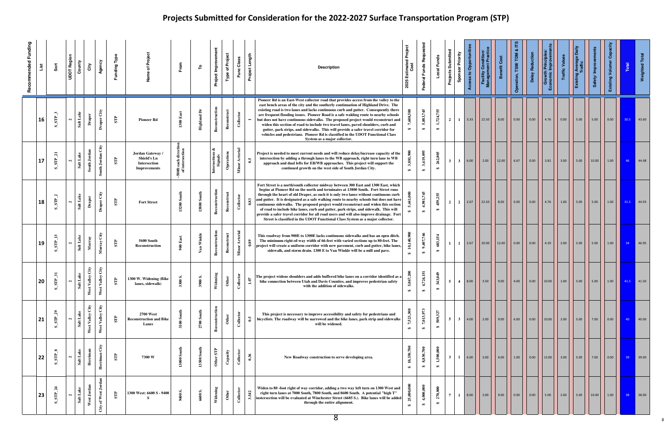| Recommended Funding | List | Šõ                                      | <b>UDOT Region</b> | County               | Agency<br>City                                                           | Funding Type            |                                                                        | From                                 | ۴                                 | Project Improvement        | <b>Type of Project</b>              | Func Class               | Project Length       | <b>Description</b>                                                                                                                                                                                                                                                                                                                                                                                                                                                                                                                                                                                                                                                                                                                            | Estimated Project<br>Cost<br>2025 | Federal Funds Reque            | Local Funds                    | Projects Submitted<br>Sponsor Priority | ess to Opportunitie<br>ę | Facility Condition/<br>Management Practice | Benefit Co | TDM<br>ration, TSM/ | Delay                | wth Prine<br>mon<br>$\overline{G}$ | <b>Traffic Value</b> | ge Daily<br>Existing Ave |              | Capacity<br>Existing Volume/ | Total           | <b>Weighted Total</b>          |
|---------------------|------|-----------------------------------------|--------------------|----------------------|--------------------------------------------------------------------------|-------------------------|------------------------------------------------------------------------|--------------------------------------|-----------------------------------|----------------------------|-------------------------------------|--------------------------|----------------------|-----------------------------------------------------------------------------------------------------------------------------------------------------------------------------------------------------------------------------------------------------------------------------------------------------------------------------------------------------------------------------------------------------------------------------------------------------------------------------------------------------------------------------------------------------------------------------------------------------------------------------------------------------------------------------------------------------------------------------------------------|-----------------------------------|--------------------------------|--------------------------------|----------------------------------------|--------------------------|--------------------------------------------|------------|---------------------|----------------------|------------------------------------|----------------------|--------------------------|--------------|------------------------------|-----------------|--------------------------------|
|                     | 16   | $S$ _STP_3                              | $\mathbf{a}$       | Salt Lake            | Draper City<br>Draper                                                    | $\overline{\rm ST}$     | <b>Pioneer Rd</b>                                                      | $1300\rm~East$                       | <b>Highland Dr</b>                | Reconstruction             | $\mathop{\mathrm{construct}}$<br>Re | Collector                |                      | Pioneer Rd is an East-West collector road that provides access from the valley to the<br>east bench areas of the city and the southerly continuation of Highland Drive. The<br>existing road is two lanes and lacks continuous curb and gutter. Consequently there<br>are frequent flooding issues. Pioneer Road is a safe wakling route to nearby schools<br>but does not have continuous sidewalks. The proposed project would reconstruct and<br>widen this section of road to include two travel lanes, paved shoulders, curb and<br>gutter, park strips, and sidewalks. This will provide a safer travel corridor for<br>vehicles and pedestrians. Pioneer Rd is classified in the UDOT Functional Class<br>System as a major collector. | 500<br>$\leftrightarrow$          | 5,883,745<br>$\leftrightarrow$ | 1,724,755<br>$\leftrightarrow$ | $\overline{2}$<br>1                    | 3.33                     | 22.50                                      | 8.00       | 0.00                | 0.00                 | 4.76                               | 0.00                 | 5.00                     | $\vert$ 5.00 | 0.00                         | 30.5            | $\parallel$ 43.60              |
|                     | 17   | $\overline{a}$<br>$S_{\rm IR}$<br>ທ່    | $\mathbf{a}$       | Salt Lake            | $\mathrm{Gir}$<br>South Jordan<br>uth Jordan<br>නී                       | STP                     | Jordan Gateway /<br>Shield's Ln<br>Intersection<br><b>Improvements</b> | 00ft each directi<br>of intersection |                                   | Intersections &<br>Signals | rations<br>$\mathbf{e}$             | Minor Arterial           | $\ddot{\bullet}$     | Project is needed to meet current needs and will reduce delay/increase capacity of the<br>intersection by adding a through lanes to the WB approach, right turn lane to WB<br>approach and dual lefts for EB/WB approaches. This project will support the<br>continued growth on the west side of South Jordan City.                                                                                                                                                                                                                                                                                                                                                                                                                          | 3,881,900<br>₩                    | 3,619,095<br>$\bullet$         | 262,805<br>$\bullet$           | $3^{\circ}$<br>$\mathbf{3}$            | 6.00                     | $2.00$                                     | 12.00      | 6.67                | $\vert$ 0.00         | 3.81                               | 3.00                 | 5.00                     | 10.00        | 1.00                         | 46              | 44.48                          |
|                     | 18   | $S$ _ $STP$                             | $\mathbf{a}$       | Salt Lake            | Draper City<br>Drape                                                     | STP                     | <b>Fort Street</b>                                                     | South<br>13200                       | <b>13800 South</b>                | Reconstruction             | Reconstruct                         | Collector                | 0.83                 | Fort Street is a north/south collector midway between 300 East and 1300 East, which<br>begins at Pioneer Rd on the north and terminates at 13800 South. Fort Street runs<br>through the heart of old Draper, as such it is only two lanes without continuous curb<br>and gutter. It is designated as a safe walking route to nearby schools but does not have<br>continuous sidewalks. The proposed project would reconstruct and widen this section<br>of road to include bike lanes, curb and gutter, park strips, and sidewalk. This will<br>provide a safer travel corridor for all road users and will also improve drainage. Fort<br>Street is classified in the UDOT Functional Class System as a major collector.                     |                                   | 4,981,745<br>$\leftrightarrow$ | 459,255<br>$\leftrightarrow$   | $\overline{2}$<br><sup>2</sup>         | 2.67                     | 22.50                                      | 8.00       | 0.00                | 0.00                 | 4.76                               | 1.00                 | 5.00                     | 5.00         | 1.00                         | 31.5            | $\blacksquare$ 44.93           |
|                     | 19   | ${\bf S\_STP\_13}$                      | $\mathbf{a}$       | Salt Lake            | $\mathbf{G}\mathbf{t}\mathbf{y}$<br>Murray<br>Murray                     | STP                     | 5600 South<br>Reconstruction                                           | $900$ East                           | Van Winkle                        | Reconstruction             | Reconstruct                         | <b>Arterial</b><br>å     | 0.89                 | This roadway from 900E to 1300E lacks continuous sidewalks and has an open ditch.<br>The minimum right-of-way width of 66-feet with varied sections up to 80-feet. The<br>project will create a uniform corridor with new pavement, curb and gutter, bike lanes,<br>sidewalk, and storm drain. 1300 E to Van Winkle will be a mill and pave.                                                                                                                                                                                                                                                                                                                                                                                                  | 10,140,900<br>$\leftrightarrow$   | 9,407,746<br>$\clubsuit$       | 683,154<br>$\leftrightarrow$   | $\mathbf{1}$<br>$\mathbf{1}$           | 2.67                     | 20.00                                      | $12.00$    | 0.00                | 0.00                 | 4.29                               | 2.00                 | 5.00                     | 5.00         | 1.00                         | 34              | 46.95                          |
|                     | 20   | $TP_31$<br>Ù,<br>ທ່                     | $\mathbf{r}$       | $s$ alt              | $\rm{Gry}$<br>Gty<br>alley<br>West V <sub>i</sub><br>West V <sub>i</sub> | 自<br>Ø                  | 1300 W. Widening (Bike<br>lanes, sidewalk)                             | $\approx$<br>33                      | S.<br>$\epsilon$<br>$\mathbf{39}$ | lening<br>Ÿid              | $\bullet$                           | lector<br>්              | $\ddot{\phantom{0}}$ | The project widens shoulders and adds buffered bike lanes on a corridor identified as a<br>bike connection between Utah and Davis Counties, and improves pedestrian safety<br>with the addition of sidewalks.                                                                                                                                                                                                                                                                                                                                                                                                                                                                                                                                 | 067,200<br>ທີ<br>$\bullet$        | 4,724,151<br>$\leftrightarrow$ | 343,049<br>$\leftrightarrow$   | 5 <sup>5</sup><br>$\overline{4}$       | 8.00                     | $\vert$ 3.50 $\vert$                       | $9.00$     | 4.00                | $\vert$ 0.00 $\vert$ |                                    |                      | 5.00 5.00                |              | 1.00                         |                 | 41.5 41.50                     |
|                     | 21   | $\boldsymbol{\mathcal{S}}$<br>STP<br>ທ່ | $\mathbf{a}$       | Salt Lake            | Ĝ<br>Ĵ<br>Valley<br>Valley<br>West<br>West                               | STP                     | <b>2700 West</b><br><b>Reconstruction and Bike</b><br>Lanes            | 3100 So                              | $\frac{4}{3}$<br>န္တ<br>2700      | Reconstruction             | Other                               | Collector                | $\mathbf{0.5}$       | This project is necessary to improve accessibility and safety for pedestrians and<br>bicyclists. The roadway will be narrowed and the bike lanes, park strip and sidewalks<br>will be widened.                                                                                                                                                                                                                                                                                                                                                                                                                                                                                                                                                | 7,523,300<br>$\leftrightarrow$    | 7,013,973<br>$\bullet$         | 509,327<br>$\bullet$           | 5 <sup>5</sup><br>3 <sup>1</sup>       | 4.00                     | 2.00                                       | 9.00       | 6.00                | 0.00                 | 10.00                              | 2.00                 | 5.00                     | 7.00         | 0.00                         | 40 <sup>°</sup> | 40.00                          |
|                     | 22   | ∞.<br>STP<br>ທ່                         | $\mathbf{a}$       | Salt L               | City<br><b>Herriman</b><br>Herrima                                       | STP                     | 7300 W                                                                 | $13000$ South                        | 13300 South                       | Other STP                  | $Capacity$                          | ${\bf Co1} \label{eq:2}$ | 0.36                 | New Roadway construction to serve developing area.                                                                                                                                                                                                                                                                                                                                                                                                                                                                                                                                                                                                                                                                                            | 10,330,700<br>$\clubsuit$         | 8,830,700<br>$\leftrightarrow$ | 1,500,000<br>$\bullet$         | 3<br>1                                 | 6.00                     | 3.00                                       | 6.00       | 1.00                | 0.00                 | 13.00                              | 3.00                 | 5.00                     | 7.00         | 0.00                         | 39 <sup>°</sup> | $\vert$ 39.00                  |
|                     | 23   | STP.<br>ທ່                              | $\mathbf{a}$       | ake<br><b>Salt</b> L | of West Jord<br>West Jor<br>City                                         | $\overline{\mathbf{s}}$ | 1300 West: 6600 S - 9400                                               | 9400 S.                              | 6600 S.                           | Widening                   | Other                               | Collector                | 3.542                | Widen to 80 -foot right of way corridor, adding a two way left turn on 1300 West and<br>right turn lanes at 7000 South, 7800 South, and 8600 South. A potential "high T"<br>instersection will be evaluated at Winchester Street (6685 S.). Bike lanes will be added<br>through the entire alignment.                                                                                                                                                                                                                                                                                                                                                                                                                                         | 25,000,000<br>$\leftrightarrow$   | 4,000,000<br>$\bullet$         | 270,800<br>$\bullet$           | $\overline{7}$<br>1                    | 8.00                     | 3.00                                       | 9.00       | 0.00                | 0.00                 | 5.00                               | 2.00                 | 5.00                     | 10.00        | 1.00                         | 38 <sup>°</sup> | $\overline{\phantom{0}}$ 38.00 |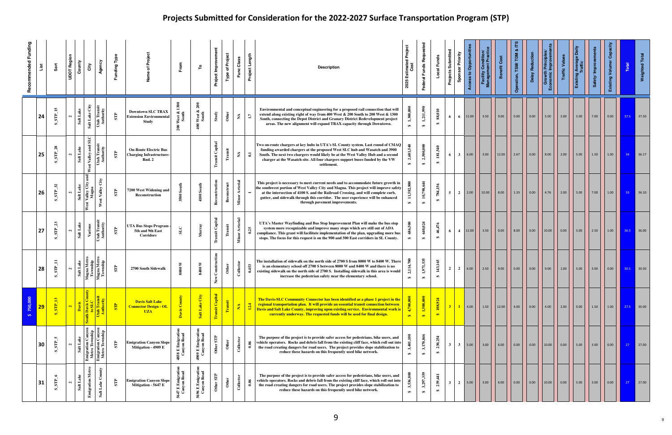| Recommended Funding<br>List | Sort                                                  | <b>UDOT Region</b><br>County<br>City                                                  | Agency                                                                     | Funding Type            | Proje<br>৳                                                                | From                             | ۴                                                  | Project Improvement            | Project<br>$\overline{\mathbf{o}}$<br>Type | Length<br>Func Class<br>Project            | <b>Description</b>                                                                                                                                                                                                                                                                                                                                                                      | <b>Estimated Project</b><br>Cost<br>2025            | Federal Funds Reque             | Local Funds                  | Projects Submitted<br>Sponsor Priority | ccess to Opportunit | <b>Facility Condition</b><br>anagement Practi | Benefit Cost | ration, TSM/TDM | Delay Reduction    | <b>Growth Principle</b><br>conomic Improvem | <b>Traffic Value</b> | erage Daily<br>ffic<br>Existing | ety/Improv<br>Ğ,                            | င်္စ<br>Existing Volume/ | Total           | <b>Weighted Total</b> |
|-----------------------------|-------------------------------------------------------|---------------------------------------------------------------------------------------|----------------------------------------------------------------------------|-------------------------|---------------------------------------------------------------------------|----------------------------------|----------------------------------------------------|--------------------------------|--------------------------------------------|--------------------------------------------|-----------------------------------------------------------------------------------------------------------------------------------------------------------------------------------------------------------------------------------------------------------------------------------------------------------------------------------------------------------------------------------------|-----------------------------------------------------|---------------------------------|------------------------------|----------------------------------------|---------------------|-----------------------------------------------|--------------|-----------------|--------------------|---------------------------------------------|----------------------|---------------------------------|---------------------------------------------|--------------------------|-----------------|-----------------------|
| 24                          | 15<br>SE<br>ທ່                                        | $\rm{Gry}$<br>Salt Lake<br>Salt Lake<br>$\mathbf{N}$                                  | Utah Transit<br>Authority                                                  | STP                     | <b>Downtown SLC TRAX</b><br><b>Extension Environmental</b><br>Study       | West &<br>South<br>$\approx$     | $\overline{200}$<br>West &<br>South<br>$\tilde{=}$ | ${\bf Study}$                  | Other                                      | $\boldsymbol{\Sigma}$<br>$\mathbf{L}$      | Environmental and conceptual engineering for a proposed rail connection that will<br>extend along existing right of way from 400 West & 200 South to 200 West & 1300<br>South, connecting the Depot District and Granary District Redevelopment project<br>areas. The new alignment will expand TRAX capacity through Downtown.                                                         | 1,300,000<br>$\Theta$                               | 1,211,990<br>$\bullet$          | 88,010<br>$\leftrightarrow$  | 6<br>6                                 | 11.00               | 3.50                                          | 9.00         | 0.00            | 0.00               | 5.00                                        | 2.00                 | 5.00                            | 7.00                                        | 0.00                     | 37.5            | $\frac{1}{2}$ 37.50   |
| 25                          | న<br>$\mathbb{E}$<br>ທ                                | SLC<br>$_{\rm and}$<br>Salt Lake<br>Valley<br>$\mathbf{N}$<br>$\overline{\mathbf{g}}$ | <b>Jtah Transit</b><br>Authority                                           | $\overline{\mathbf{S}}$ | <b>On-Route Electric Bus</b><br><b>Charging Infrastructure:</b><br>Rnd. 2 |                                  |                                                    | Capital<br>$\ddot{\mathbf{z}}$ | ist                                        | $\boldsymbol{\Sigma}$<br>$\Xi$             | Two on-route chargers at key hubs in UTA's SL County system. Last round of CMAQ<br>funding awarded chargers at the proposed West SLC hub and Wasatch and 3900<br>South. The next two chargers would likely be at the West Valley Hub and a second<br>charger at the Wasatch site. All four chargers support buses funded by the VW<br>settlement.                                       | 681,540<br>$\mathbf{a}$<br>₩                        | 2,500,000<br>$\leftrightarrow$  | 181,540<br>$\leftrightarrow$ | 6<br>$\mathbf{3}$                      | 6.00                | 3.00                                          | 12.00        | 2.67            | $\vert$ 0.00       | 8.00                                        | 2.00                 | 5.00                            | 1.50                                        | 1.00                     | 34 <sup>°</sup> | 36.17                 |
| 26                          | 32<br>$S_{\rm T}$<br>ທ                                | and<br>Valley City:<br>Magna<br>Salt Lak<br>$\mathbf{N}$<br>West                      | City<br>Valley<br>West                                                     | STP                     | 7200 West Widening and<br>Reconstruction                                  | 3500 So                          | $\frac{4}{11}$<br>4100 Son                         | Reconstruction                 | $_{\rm construct}$<br>Rec                  | <b>Arterial</b><br>$\blacksquare$<br>Minor | This project is necessary to meet current needs and to accommodate future growth in<br>the southwest portion of West Valley City and Magna. This project will improve safety<br>at the intersection of 4100 S. and the Railroad Crossing, and will complete curb,<br>gutter, and sidewalk through this corridor. The user experience will be enhanced<br>through pavement improvements. | 11,582,800<br>₩                                     | 10,798,644<br>$\leftrightarrow$ | 784,156<br>$\bullet$         | 5 <sup>5</sup>                         | $2 \mid 2.00$       | 10.00                                         | 8.00         | 1.33            | $\vert$ 0.00       | 4.76                                        | 2.00                 | 5.00                            | $\begin{array}{ c c }\n\hline\n\end{array}$ | 1.00                     | $-33$           | 36.10                 |
| 27                          | $S_{\rm IR}$                                          | Salt Lake<br>Vario<br>$\mathbf{a}$                                                    | Itah Transit<br>Authority                                                  | ${\bf S}{\bf P}$        | UTA Bus Stops Program<br>5th and 9th East<br><b>Corridors</b>             | $\mathbf{S}\mathbf{L}\mathbf{C}$ | ৱি<br>$\sum_{i=1}^{n}$                             | <b>Transit Capital</b>         | Transit                                    | Arterial<br>0.25<br>Minor                  | UTA's Master Wayfinding and Bus Stop Improvement Plan will make the bus stop<br>system more recognizable and improve many stops which are still out of ADA<br>compliance. This grant will facilitate implementation of the plan, upgrading more bus<br>stops. The focus for this request is on the 900 and 500 East corridors in SL County.                                             | $\frac{6}{3}$<br>$\frac{8}{6}$<br>$\leftrightarrow$ | 640,024<br>$\leftrightarrow$    | 46,476<br>$\leftrightarrow$  | 6<br>$\overline{4}$                    | 11.00               | 3.50                                          | 0.00         | 8.00            | 0.00               | 10.00                                       | 0.00                 | 5.00                            | 2.50                                        | 1.00                     |                 | 36.5 36.00            |
| 28                          | Ξ<br>STP<br>ທ                                         | Magna Metro<br>Township<br>Salt Lake<br>$\mathbf{a}$                                  | Magna Metro<br>Township                                                    | $\overline{\text{SP}}$  | 2700 South Sidewalk                                                       | ⋗<br>8000                        | $\blacktriangleright$<br>8400                      | Construction<br>New            | Othe                                       | Collector<br>0.453                         | The installation of sidewalk on the north side of 2700 S from 8000 W to 8400 W. There<br>is an elementary school off 2700 S between 8000 W and 8400 W and there is no<br>existing sidewalk on the north side of 2700 S. Installing sidewalk in this area is would<br>increase the pedestrian safety near the elementary school.                                                         | 2,114,700<br>$\Theta$                               | 1,971,535<br>$\bullet$          | 143,165<br>$\leftrightarrow$ | $\overline{2}$                         | 2   6.00            |                                               | 9.00         | 0.00            | $\vert 0.00 \vert$ | 9.00                                        | 1.00                 | 5.00                            | 3.00                                        | 0.00                     |                 | 30.5 30.50            |
| 750,0C<br>29                | $\overline{13}$<br>$\overline{\text{SP}}$<br><b>i</b> | uth Davis C<br>0 SLC<br>Davis<br>$\mathbf{a}$                                         | Utah Transi<br>Authority                                                   | $\overline{\mathbf{S}}$ | <b>Davis Salt Lake</b><br><b>Connector Design - OL</b><br><b>UZA</b>      | Davis County                     | Salt Lake City                                     | <b>Transit Capital</b>         | Transit                                    | Ā<br>$\mathbf{A}$<br>$\overline{5}$        | The Davis-SLC Community Connector has been identified as a phase 1 project in the<br>regional transportation plan. It will provide an essential transit connection between<br>Davis and Salt Lake County, improving upon existing service. Environmental work is<br>currently underway. The requested funds will be used for final design.                                              | 4,700,000<br>$\leftrightarrow$                      | 1,500,000<br>$\leftrightarrow$  | 108,924<br>$\leftrightarrow$ | 3 <sup>2</sup>                         | 4.00                | 1.50                                          | 12.00        | 4.00            | 0.00               | 4.00                                        | 2.00                 | 0.00                            | 1.50                                        | 1.00                     |                 | 27.5 30.00            |
| 30                          | In.<br>$S_{\rm T}$<br>Ø                               | Salt Lake                                                                             | Emigration Canyon<br>Metro Township<br>Emigration Canyon<br>Metro Township | $S_{\rm T}$             | Emigration Canyon Slope<br>Mitigation - 4909 E                            | 4858 E Emigratio<br>Canyon Road  | 4909 E Emigration<br>Canyon Road                   | Other STP                      | Other                                      | ${\bf Collector}$<br>0.06                  | The purpose of the project is to provide safer access for pedestrians, bike users, and<br>vehicle operators. Rocks and debris fall from the existing cliff face, which roll out into<br>the road creating dangers for road users. The project provides slope stabilization to<br>reduce these hazards on this frequently used bike network.                                             | 3,401,100<br>$\leftrightarrow$                      | 3,170,846<br>$\bullet$          | 230,254<br>$\leftrightarrow$ | 3 <sup>1</sup><br>$\mathbf{3}$         | 5.00                | 3.00                                          | 6.00         | 0.00            | 0.00               | 10.00                                       | 0.00                 | 5.00                            | 3.00                                        | 0.00                     | 27 <sup>2</sup> | $\vert$ 27.00         |
| 31                          | $\bullet$<br>$S_{\rm T}$<br>ທ່                        | <b>Emigration Metro</b><br>Salt L.                                                    | Salt Lake County                                                           | STP                     | <b>Emigration Canyon Slope</b><br>Mitigation - 5647 E                     | 5647 E Emigration<br>Canyon Road | 5696 E Emigration<br>Canyon Road                   | Other STP                      | Other                                      | Collector<br>0.06                          | The purpose of the project is to provide safer access for pedestrians, bike users, and<br>vehicle operators. Rocks and debris fall from the existing cliff face, which roll out into<br>the road creating dangers for road users. The project provides slope stabilization to<br>reduce these hazards on this frequently used bike network.                                             | 36,800<br>3,5<br>$\Theta$                           | 3,297,359<br>$\leftrightarrow$  | 239,441<br>$\Theta$          | $\mathbf{2}$<br>$\mathbf{3}$           | 5.00                | 3.00                                          | 6.00         | 0.00            | 0.00               | 10.00                                       | 0.00                 | 5.00                            | 3.00                                        | 0.00                     | 27              | $\vert$ 27.00         |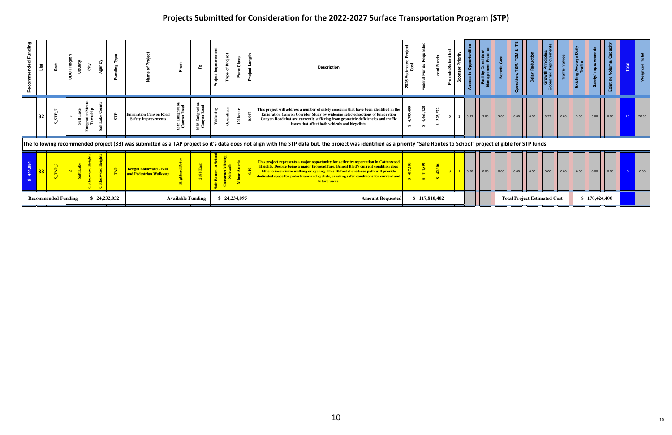| d Fundin |    |                            | UDOT Req | ₹ |              |                                                             | From                        | ₽                         | 흍 |              | c       | gth<br>⊐<br>Ħ.<br>Proje | <b>Description</b>                                                                                                                                                                                                                                                                                                                                                          | stimated<br>Cost<br>202              |                                | $\overline{a}$       | Priority<br>ubmitt<br>Sponsor<br>Projects |        |              |                      |                                     |                      |                      |              | $\circ$<br>Existi |               | š    |                 |               |
|----------|----|----------------------------|----------|---|--------------|-------------------------------------------------------------|-----------------------------|---------------------------|---|--------------|---------|-------------------------|-----------------------------------------------------------------------------------------------------------------------------------------------------------------------------------------------------------------------------------------------------------------------------------------------------------------------------------------------------------------------------|--------------------------------------|--------------------------------|----------------------|-------------------------------------------|--------|--------------|----------------------|-------------------------------------|----------------------|----------------------|--------------|-------------------|---------------|------|-----------------|---------------|
|          | 32 | 51                         | Salt     |   | $\mathbb{E}$ | <b>Emigration Canyon Road</b><br><b>Safety Improvements</b> | ដូង<br>ចាំង<br>면 할<br>දී යි | ដឹឌ<br>698 Emig<br>Canyon |   | $o_{\rm pe}$ | _<br>ਟਰ |                         | This project will address a number of safety concerns that have been identified in the<br>Emigration Canyon Corridor Study by widening selected sections of Emigration<br>Canyon Road that are currently suffering from geometric deficiencies and traffic<br>issues that affect both vehicals and bicyclists.                                                              | $\frac{6}{3}$<br>4,785,<br>$\bullet$ | 4,461,428<br>$\leftrightarrow$ | 323,972<br>$\bullet$ | $3-1$                                     | $3.33$ |              | $\vert$ 3.00 $\vert$ | $\vert$ 0.00 $\vert$                | $\vert$ 0.00 $\vert$ | $\vert$ 8.57 $\vert$ | $\vert$ 0.00 | 5.00              | $\vert$ 3.00  | 0.00 | 23 <sup>2</sup> | $\vert$ 20.90 |
|          |    |                            |          |   |              |                                                             |                             |                           |   |              |         |                         | The following recommended project (33) was submitted as a TAP project so it's data does not align with the STP data but, the project was identified as a priority "Safe Routes to School" project eligible for STP funds                                                                                                                                                    |                                      |                                |                      |                                           |        |              |                      |                                     |                      |                      |              |                   |               |      |                 |               |
|          | 33 |                            |          |   | $\mathbf{R}$ | <b>Bengal Boulevard - Bike</b><br>and Pedestrian Walkway    |                             |                           |   |              |         |                         | This project represents a major opportunity for active transportation in Cottonwood<br>Heights. Despite being a major thoroughfare, Bengal Blvd's current condition does<br>little to incentivize walking or cycling. This 10-foot shared-use path will provide<br>dedicated space for pedestrians and cyclists, creating safer conditions for current and<br>future users. |                                      | 44,894<br>$\leftrightarrow$    | 42,306               |                                           | 0.00   | $\vert$ 0.00 | $\vert 0.00 \vert$   | $\vert 0.00 \vert$                  | $\vert$ 0.00 $\vert$ | $\vert$ 0.00 $\vert$ | $\vert$ 0.00 | $\vert$ 0.00      | $\big  0.00$  | 0.00 |                 | $\vert$ 0.00  |
|          |    | <b>Recommended Funding</b> |          |   | \$24,232,052 |                                                             | <b>Available Funding</b>    |                           |   | \$24,234,095 |         |                         | <b>Amount Requested</b>                                                                                                                                                                                                                                                                                                                                                     |                                      | \$117,810,402                  |                      |                                           |        |              |                      | <b>Total Project Estimated Cost</b> |                      |                      |              |                   | \$170,424,400 |      |                 |               |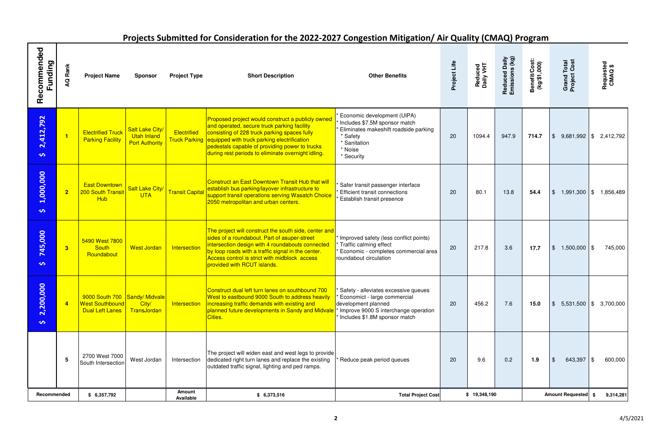# Projects Submitted for Consideration for the 2022-2027 Congestion Mitigation/ Air Quality (CMAQ) Program

|                           |                         |                                                                                   |                                                                |                            | <u>Frujects Jubinitied for Consideration for the ZUZZ-ZUZ7 Congestion Mitigation/ Air Quanty (CiviAQ) Frugram</u>                                                                                                                                                                                                     |                                                                                                                                                                      |              |                      |                                 |                               |                                    |                                     |
|---------------------------|-------------------------|-----------------------------------------------------------------------------------|----------------------------------------------------------------|----------------------------|-----------------------------------------------------------------------------------------------------------------------------------------------------------------------------------------------------------------------------------------------------------------------------------------------------------------------|----------------------------------------------------------------------------------------------------------------------------------------------------------------------|--------------|----------------------|---------------------------------|-------------------------------|------------------------------------|-------------------------------------|
| Recommended<br>Funding    |                         | <b>Project Name</b>                                                               | <b>Sponsor</b>                                                 | <b>Project Type</b>        | <b>Short Description</b>                                                                                                                                                                                                                                                                                              | <b>Other Benefits</b>                                                                                                                                                | Project Life | Reduced<br>Daily VHT | Reduced Daily<br>Emissions (kg) | Benefit/Cost:<br>(kg/\$1,000) | <b>Grand Total</b><br>Project Cost | Requested<br>CMAQ\$                 |
| 2,412,792<br>$\mathbf{v}$ | $\blacksquare$          | <b>Electrified Truck</b><br><b>Parking Facility</b>                               | <b>Salt Lake City/</b><br>Utah Inland<br><b>Port Authority</b> | Electrified                | Proposed project would construct a publicly owned<br>and operated, secure truck parking facility<br>consisting of 228 truck parking spaces fully<br>Truck Parking equipped with truck parking electrification<br>pedestals capable of providing power to trucks<br>during rest periods to eliminate overnight idling. | Economic development (UIPA)<br>Includes \$7.5M sponsor match<br>Eliminates makeshift roadside parking<br>* Safety<br>* Sanitation<br>* Noise<br>* Security           | 20           | 1094.4               | 947.9                           | 714.7                         | $\frac{1}{2}$<br>$9,681,992$ \$    | 2,412,792                           |
| 1,000,000<br>$\mathbf{v}$ | $\overline{\mathbf{2}}$ | <b>East Downtown</b><br><b>200 South Transit</b><br><b>Hub</b>                    | Salt Lake City/<br><b>UTA</b>                                  | <b>Transit Capital</b>     | <b>Construct an East Downtown Transit Hub that will</b><br>establish bus parking/layover infrastructure to<br>support transit operations serving Wasatch Choice<br>2050 metropolitan and urban centers.                                                                                                               | Safer transit passenger interface<br><b>Efficient transit connections</b><br>Establish transit presence                                                              | 20           | 80.1                 | 13.8                            | 54.4                          | $\frac{1}{2}$<br>1,991,300         | 1,856,489<br>l \$                   |
| 745,000<br>$\bullet$      | $\overline{\mathbf{3}}$ | 5490 West 7800<br><b>South</b><br>Roundabout                                      | <b>West Jordan</b>                                             | Intersection               | The project will construct the south side, center and<br>sides of a roundabout. Part of asuper-street<br>intersection design with 4 roundabouts connected<br>by loop roads with a traffic signal in the center.<br>Access control is strict with midblock access<br>provided with RCUT islands.                       | Improved safety (less conflict points)<br>Traffic calming effect<br>Economic - completes commercial area<br>roundabout circulation                                   | 20           | 217.8                | 3.6                             | 17.7                          | $\frac{1}{2}$<br>$1,500,000$ \\$   | 745,000                             |
| 2,200,000<br>$\mathbf{v}$ | $\overline{4}$          | 9000 South 700 Sandy/ Midvale<br><b>West Southbound</b><br><b>Dual Left Lanes</b> | City/<br><b>TransJordan</b>                                    | Intersection               | Construct dual left turn lanes on southbound 700<br>West to eastbound 9000 South to address heavily<br>increasing traffic demands with existing and<br>planned future developments in Sandy and Midvale<br>Cities.                                                                                                    | Safety - alleviates excessive queues<br>Economict - large commercial<br>development planned<br>Improve 9000 S interchange operation<br>Includes \$1.8M sponsor match | 20           | 456.2                | 7.6                             | 15.0                          | $\frac{1}{2}$                      | $5,531,500$ $\uparrow$ \$ 3,700,000 |
|                           | -5                      | 2700 West 7000<br>South Intersection                                              | West Jordan                                                    | Intersection               | The project will widen east and west legs to provide<br>dedicated right turn lanes and replace the existing<br>outdated traffic signal, lighting and ped ramps.                                                                                                                                                       | Reduce peak period queues                                                                                                                                            | 20           | 9.6                  | 0.2                             | 1.9                           | $\frac{1}{2}$<br>643,397           | 600,000                             |
| Recommended               |                         | \$6,357,792                                                                       |                                                                | <b>Amount</b><br>Available | \$6,373,516                                                                                                                                                                                                                                                                                                           | <b>Total Project Cost</b>                                                                                                                                            |              | \$19,348,190         |                                 |                               | Amount Requested \$                | 9,314,281                           |

**2**  $4/5/2021$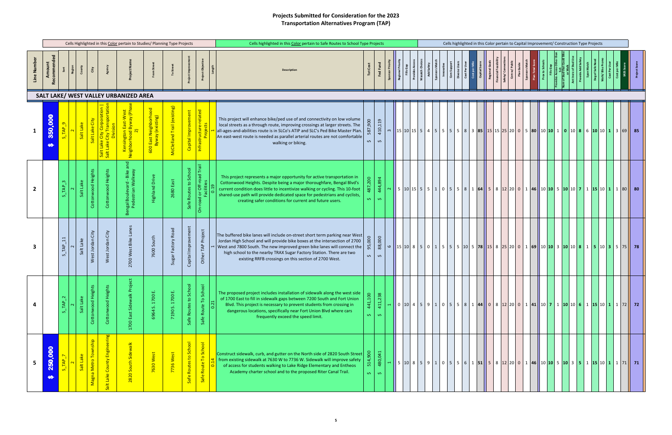### Projects Submitted for Consideration for the 2023 Transportation Alternatives Program (TAP)

|            |                                                            |                            |           |                      |                                                  | Cells Highlighted in this Color pertain to Studies/ Planning Type Projects |                                              |                             |                                                    |                                                                             |                    | Cells highlighted in this Color pertain to Safe Routes to School Type Projects                                                                                                                                                                                                                                                                                              |                         |                               |     |                                            |            |                            |                                                             |           |            |  |  | Cells highlighted in this Color pertain to Capital Improvement/ Construction Type Projects                                                                                                 |  |  |  |
|------------|------------------------------------------------------------|----------------------------|-----------|----------------------|--------------------------------------------------|----------------------------------------------------------------------------|----------------------------------------------|-----------------------------|----------------------------------------------------|-----------------------------------------------------------------------------|--------------------|-----------------------------------------------------------------------------------------------------------------------------------------------------------------------------------------------------------------------------------------------------------------------------------------------------------------------------------------------------------------------------|-------------------------|-------------------------------|-----|--------------------------------------------|------------|----------------------------|-------------------------------------------------------------|-----------|------------|--|--|--------------------------------------------------------------------------------------------------------------------------------------------------------------------------------------------|--|--|--|
| Line Numbe | Amount<br>്<br>പ                                           |                            | Regior    | City                 |                                                  | Project Na                                                                 |                                              |                             | ಕ್ಷ                                                | Project Obje                                                                |                    | <b>Description</b>                                                                                                                                                                                                                                                                                                                                                          | Tot Cost                | Fed                           |     | Provides Acce<br>Wasatch Choi<br>Fills Gap | Add Safety | Sponsors Mat<br>Innovative | Com Support<br>Diverse User<br>Cost Per Use<br>Cost per Mil | Capital : | ancial Fe. |  |  |                                                                                                                                                                                            |  |  |  |
|            |                                                            |                            |           |                      |                                                  | SALT LAKE/ WEST VALLEY URBANIZED AREA                                      |                                              |                             |                                                    |                                                                             |                    |                                                                                                                                                                                                                                                                                                                                                                             |                         |                               |     |                                            |            |                            |                                                             |           |            |  |  |                                                                                                                                                                                            |  |  |  |
|            | $\bf{S}$<br>$\bar{\bullet}$<br><u>ခိ</u><br><u>က</u><br>€A | TAP                        | Salt Lake | Salt Lake City       | Salt <sub>L</sub>                                |                                                                            | ) East Neighborho<br>Byway (existing)<br>600 | McClelland Trail (existing) | Capital Improvement                                | related<br>Infrastruc                                                       |                    | This project will enhance bike/ped use of and connectivity on low volume<br>local streets as a through route, improving crossings at larger streets. The<br>all-ages-and-abilities route is in SLCo's ATIP and SLC's Ped Bike Master Plan.<br>An east-west route is needed as parallel arterial routes are not comfortable<br>walking or biking.                            | 587,900<br>$\mathbf{v}$ | 410,119<br>$\hat{\mathbf{v}}$ |     |                                            |            |                            |                                                             |           |            |  |  | $\sim$   15   10   15   5   5   5   5   5   8   3   85   15   15   25   20   0   5   80   10   10   1   0   10   8   6   10   10   1   3   69   85                                         |  |  |  |
|            |                                                            | TAP <sub>.</sub>           | Salt Lake | Cottonwood Heights   | 듧<br>ರ<br>Cottonw                                | ãk<br>ੁ≊ ≥<br>ngal Boulevar<br>Pedestrian V<br>ൣ                           | <b>Highland Drive</b>                        | 2680 East                   | Routes to School<br>Safe                           | 1 or Off-road <sup>-</sup><br>Facilities<br>ਠ<br>рg<br>$\dot{\bar{\delta}}$ |                    | This project represents a major opportunity for active transportation in<br>Cottonwood Heights. Despite being a major thoroughfare, Bengal Blvd's<br>current condition does little to incentivize walking or cycling. This 10-foot<br>shared-use path will provide dedicated space for pedestrians and cyclists,<br>creating safer conditions for current and future users. | 487,200<br>$\mathbf{v}$ | 444,894<br>$\mathbf{v}$       |     |                                            |            |                            |                                                             |           |            |  |  | $\sim$   5   10   15   5   5   1   0   5   5   8   1   64   5   8   12   20   0   1   46   10   10   5   10   10   7   1   15   10   1   1   80   80                                       |  |  |  |
|            |                                                            | $\mathsf{TAP\_11}$         | Salt Lake | City<br>West Jordan  | City<br>West Jordan                              | 2700 West Bike Lanes                                                       | 7600 South                                   | Road<br>Factory<br>Suga     | Capital Improvement                                | Other TAP Project                                                           |                    | The buffered bike lanes will include on-street short term parking near West<br>Jordan High School and will provide bike boxes at the intersection of 2700<br>West and 7800 South. The new improved green bike lanes will connect the<br>high school to the nearby TRAX Sugar Factory Station. There are two<br>existing RRFB crossings on this section of 2700 West.        | 95,000<br>$\bm{\omega}$ | 88,000<br>$\hat{\mathbf{v}}$  |     |                                            |            |                            |                                                             |           |            |  |  | <b>8</b>   15   10   8   5   0   1   5   5   5   10   5   78   15   8   15   8   15   8   10   8   5   0   1   5   5   10   5   78   15   10   8   5   79   78                             |  |  |  |
|            |                                                            | $\sim$<br>TAP <sub>.</sub> | Salt Lake | Cottonwood Height    | Heigh<br>ರ<br>Cotto                              | ᅕ<br>ᆇ<br>Side<br>1700 East                                                | шì.<br>1700<br>ω,<br>6964                    | шÌ<br>1700<br>്റ്<br>190    | $\overline{\phantom{a}}$<br>Routes to Scho<br>Safe | Scho<br>Route To:<br>Safe                                                   | $\mathbf{N}$<br>o. | The proposed project includes installation of sidewalk along the west side<br>of 1700 East to fill in sidewalk gaps between 7200 South and Fort Union<br>Blvd. This project is necessary to prevent students from crossing in<br>dangerous locations, specifically near Fort Union Blvd where cars<br>frequently exceed the speed limit.                                    | 441,100<br>$\sim$       | 411,238<br>$\sim$             | a l |                                            |            |                            |                                                             |           |            |  |  |                                                                                                                                                                                            |  |  |  |
|            | 000<br>$\bf{50}$<br>$\sim$<br>$\bullet$                    | TAP <sub>-</sub>           | Salt Lake | Magna Metro Township | ring<br>Engin<br>County<br>Lake<br>$\frac{1}{5}$ | 2820 South Sidewalk                                                        | 7630 West                                    | 7736 West                   | Safe Routes to School                              | Route To School<br>Safe                                                     |                    | Construct sidewalk, curb, and gutter on the North side of 2820 South Street<br>from existing sidewalk at 7630 W to 7736 W. Sidewalk will improve safety<br>of access for students walking to Lake Ridge Elementary and Entheos<br>Academy charter school and to the proposed Riter Canal Trail.                                                                             | 900<br>514,<br>$\sim$   | 480,041<br>$\sim$             |     |                                            |            |                            |                                                             |           |            |  |  | 5   10   8   5   9   1   0   5   5   6   1   <mark>51</mark>    5   8  12   20   0   1   <b>46  </b>   10 <b>10</b>   5   <b>10</b>   3   <b>5</b>   1   <b>15</b>   10   1   1   71    71 |  |  |  |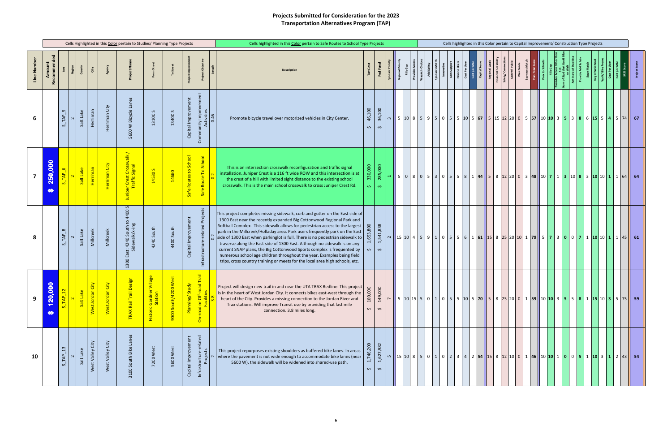### Projects Submitted for Consideration for the 2023 Transportation Alternatives Program (TAP)

|             |                                                         |                                              |           |                     |                            | Cells Highlighted in this Color pertain to Studies/ Planning Type Projects |                                                |                         |                                |                                                                                             |      | Cells highlighted in this Color pertain to Safe Routes to School Type Projects                                                                                                                                                                                                                                                                                                                                                                                                                                                                                                                                                                                                                                                       |                                   |                                 |                    |                                     |                               |  |                                                                                                              |  |                                                  |           | Cells highlighted in this Color pertain to Capital Improvement/ Construction Type Projects                                           |             |                                     |        |   |     |  |  |
|-------------|---------------------------------------------------------|----------------------------------------------|-----------|---------------------|----------------------------|----------------------------------------------------------------------------|------------------------------------------------|-------------------------|--------------------------------|---------------------------------------------------------------------------------------------|------|--------------------------------------------------------------------------------------------------------------------------------------------------------------------------------------------------------------------------------------------------------------------------------------------------------------------------------------------------------------------------------------------------------------------------------------------------------------------------------------------------------------------------------------------------------------------------------------------------------------------------------------------------------------------------------------------------------------------------------------|-----------------------------------|---------------------------------|--------------------|-------------------------------------|-------------------------------|--|--------------------------------------------------------------------------------------------------------------|--|--------------------------------------------------|-----------|--------------------------------------------------------------------------------------------------------------------------------------|-------------|-------------------------------------|--------|---|-----|--|--|
| Line Number | Amount<br>e<br>Rei                                      |                                              | Region    | City                |                            | Project Na                                                                 | ್                                              |                         | $\frac{5}{5}$                  | Project Objec                                                                               |      | <b>Description</b>                                                                                                                                                                                                                                                                                                                                                                                                                                                                                                                                                                                                                                                                                                                   | <b>Tot Cost</b>                   | Fed Fund                        |                    | <b>Regional Priori</b><br>Fills Gap | Provides Acce<br>Wasatch Choi |  | Add Safety<br>Sponsors Match<br>Immovative<br>Con Support<br>Cost Per User<br>Cost Per Mile<br>Cost Per Mile |  | Regional Go<br>Financial Feasi<br>Safety/ Conner | Com w/ Pu | Sponsors M                                                                                                                           | Prox to Scl | مستحدث عند المعر<br>An of Stud that | Antino | ě | Deg |  |  |
| 6           |                                                         | $\mathsf{L}\cap \mathsf{L}$<br>TAP<br>$\sim$ | Salt Lake | Herriman            | City<br>Herriman           | 5600 W Bicycle Lanes                                                       | $\sim$<br>13100                                | 13400 S                 | Capital Improvement            | inity Improvement<br>Activities<br>Commun                                                   | 0.46 | Promote bicycle travel over motorized vehicles in City Center.                                                                                                                                                                                                                                                                                                                                                                                                                                                                                                                                                                                                                                                                       | 46,100<br>$\hat{\mathbf{v}}$      | 36,100<br>$\mathbf{\hat{v}}$    | m                  |                                     |                               |  |                                                                                                              |  |                                                  |           | 5   10   8   5   9   5   0   5   5   10   5   67   5   12   20   0   5   57   10   10   3   5   3   8   6   15   5   4   5   74   67 |             |                                     |        |   |     |  |  |
|             | 800<br>250,<br>$\bullet$                                | $S$ <sub>_TAP</sub> <sub>_6</sub>            | Salt Lake | Herriman            | Herriman City              | r Crest Crosswalk /<br>Traffic Signal<br>iper<br>Tr<br><b>Juni</b>         | 14530 S                                        | 14660                   | Safe Routes to School          | Safe Route To School                                                                        |      | This is an intersection crosswalk reconfiguration and traffic signal<br>installation. Juniper Crest is a 116 ft wide ROW and this intersection is at<br>the crest of a hill with limited sight distance to the existing school<br>crosswalk. This is the main school crosswalk to cross Juniper Crest Rd.                                                                                                                                                                                                                                                                                                                                                                                                                            | 330,000<br>$\boldsymbol{\varphi}$ | 285,000<br>တ                    |                    |                                     |                               |  |                                                                                                              |  |                                                  |           | 5 0 8 0 5 3 0 5 8 1 44 5 8 1 2 20 0 3 48 10 7 1 3 10 8 3 10 10 1 1 64 64                                                             |             |                                     |        |   |     |  |  |
| 8           |                                                         | $\infty$<br>TAP                              | Salt Lake | Millcreek           | Millcreek                  | $\sim$<br>4400<br>: 4240 South to 4<br>idewalk/x-ing<br>岩 远<br>பீ<br>1300  | 4240 South                                     | 4400 South              | Capital Improvement            | Infrastructure-related Projects                                                             |      | This project completes missing sidewalk, curb and gutter on the East side of<br>1300 East near the recently expanded Big Cottonwood Regional Park and<br>Softball Complex. This sidewalk allows for pedestrian access to the largest<br>park in the Millcreek/Holladay area. Park users frequently park on the East<br>$\frac{1}{10}$ side of 1300 East when parkinglot is full. There is no pedestrian sidewalk to<br>traverse along the East side of 1300 East. Although no sidewalk is on any<br>current SNAP plans, the Big Cottonwood Sports complex is frequented by<br>numerous school age children throughout the year. Examples being field<br>trips, cross country training or meets for the local area high schools, etc. | 1,653,800<br>$\bm{\omega}$        | 1,541,838<br>$\hat{\mathbf{v}}$ |                    |                                     |                               |  |                                                                                                              |  |                                                  |           | $15 10 4 5 9 1 05 5 5 6 161 15 8 25 20 10 1 79 5 7 3 0 0 7 1 10 10 1 1 45 61$                                                        |             |                                     |        |   |     |  |  |
| 9           | $\bullet$<br>20,00<br>$\blacktriangledown$<br>$\bullet$ | $S_TAP_12$                                   | Salt Lake | West Jordan City    | $\geq$<br>ō<br>West Jordan | <mark>iasi</mark> s:<br>TRAX Rail Trail De                                 | <b>illage</b><br>Historic Gardner \<br>Station | West<br>9000 South/4200 | $\rightarrow$<br>Planning/Stud | <b>Fail</b><br>$\overline{\sigma}$<br>l or Off-road<br>Facilities<br>beo.<br>$\dot{\delta}$ |      | Project will design new trail in and near the UTA TRAX Redline. This project<br>is in the heart of West Jordan City. It connects bikes east-west through the<br>heart of the City. Provides a missing connection to the Jordan River and<br>Trax stations. Will improve Transit use by providing that last mile<br>connection. 3.8 miles long.                                                                                                                                                                                                                                                                                                                                                                                       | 160,000<br>$\hat{\mathbf{v}}$     | 149,000<br>$\hat{\mathbf{v}}$   | $\sim$ $\parallel$ |                                     |                               |  |                                                                                                              |  |                                                  |           |                                                                                                                                      |             |                                     |        |   |     |  |  |
| 10          |                                                         | 13<br>TAP<br>$\Omega$                        | Salt Lake | City<br>West Valley | City<br>West Valley        | Lanes<br>3100 South Bike                                                   | 7200 West                                      | 5600 West               | Capital Improvement            | Infrastructure-related<br>Projects                                                          |      | This project repurposes existing shoulders as buffered bike lanes. In areas<br>where the pavement is not wide enough to accommodate bike lanes (near<br>5600 W), the sidewalk will be widened into shared-use path.                                                                                                                                                                                                                                                                                                                                                                                                                                                                                                                  | 1,746,200<br>$\bm{\omega}$        | 1,627,982<br>$\hat{\mathbf{v}}$ | ம                  |                                     |                               |  |                                                                                                              |  |                                                  |           | $15 10 8$ 5 0 1 0 2 3 4 2 54 15 8 12 10 0 1 46 10 10 1 0 0 5 1 10 3 1 2 43 54                                                        |             |                                     |        |   |     |  |  |